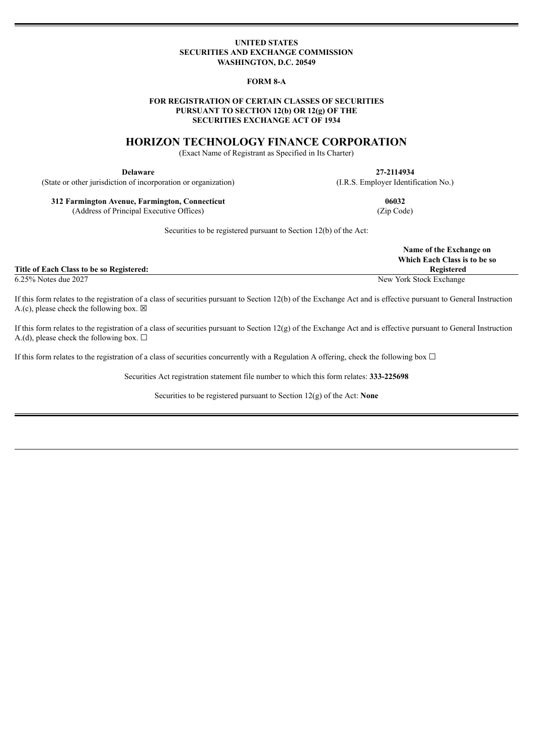### **UNITED STATES SECURITIES AND EXCHANGE COMMISSION WASHINGTON, D.C. 20549**

### **FORM 8-A**

## **FOR REGISTRATION OF CERTAIN CLASSES OF SECURITIES PURSUANT TO SECTION 12(b) OR 12(g) OF THE SECURITIES EXCHANGE ACT OF 1934**

## **HORIZON TECHNOLOGY FINANCE CORPORATION**

(Exact Name of Registrant as Specified in Its Charter)

**Delaware 27-2114934** (State or other jurisdiction of incorporation or organization) (I.R.S. Employer Identification No.)

**312 Farmington Avenue, Farmington, Connecticut 06032** (Address of Principal Executive Offices) (Zip Code)

Securities to be registered pursuant to Section 12(b) of the Act:

|                                          | Name of the Exchange on<br>Which Each Class is to be so |
|------------------------------------------|---------------------------------------------------------|
| Title of Each Class to be so Registered: | <b>Registered</b>                                       |
| 6.25% Notes due 2027                     | New York Stock Exchange                                 |

If this form relates to the registration of a class of securities pursuant to Section 12(b) of the Exchange Act and is effective pursuant to General Instruction A.(c), please check the following box.  $\boxtimes$ 

If this form relates to the registration of a class of securities pursuant to Section 12(g) of the Exchange Act and is effective pursuant to General Instruction A.(d), please check the following box.  $\Box$ 

If this form relates to the registration of a class of securities concurrently with a Regulation A offering, check the following box  $\Box$ 

Securities Act registration statement file number to which this form relates: **333-225698**

Securities to be registered pursuant to Section 12(g) of the Act: **None**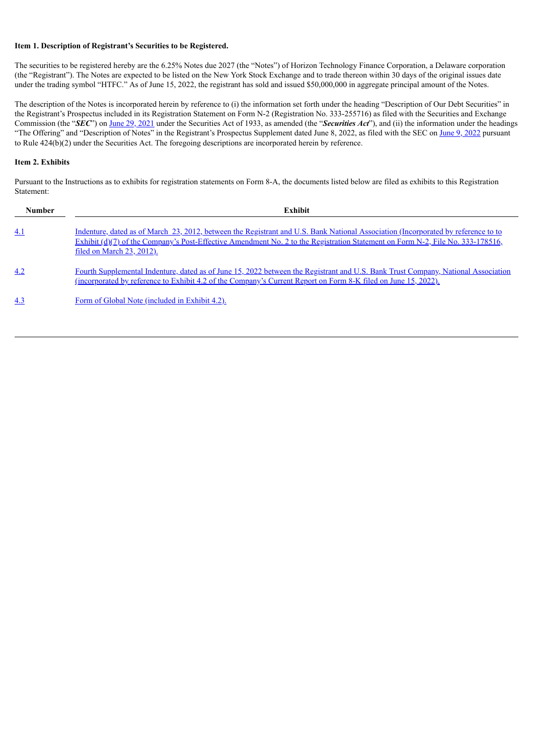## **Item 1. Description of Registrant's Securities to be Registered.**

The securities to be registered hereby are the 6.25% Notes due 2027 (the "Notes") of Horizon Technology Finance Corporation, a Delaware corporation (the "Registrant"). The Notes are expected to be listed on the New York Stock Exchange and to trade thereon within 30 days of the original issues date under the trading symbol "HTFC." As of June 15, 2022, the registrant has sold and issued \$50,000,000 in aggregate principal amount of the Notes.

The description of the Notes is incorporated herein by reference to (i) the information set forth under the heading "Description of Our Debt Securities" in the Registrant's Prospectus included in its Registration Statement on Form N-2 (Registration No. 333-255716) as filed with the Securities and Exchange Commission (the "*SEC*") on June 29, [2021](https://www.sec.gov/Archives/edgar/data/1487428/000110465921086840/tm2120781d1_n2a.htm) under the Securities Act of 1933, as amended (the "*Securities Act*"), and (ii) the information under the headings "The Offering" and "Description of Notes" in the Registrant's Prospectus Supplement dated June 8, [2022](https://www.sec.gov/Archives/edgar/data/1487428/000110465922069725/tm2218054d1_424b2.htm), as filed with the SEC on June 9, 2022 pursuant to Rule 424(b)(2) under the Securities Act. The foregoing descriptions are incorporated herein by reference.

## **Item 2. Exhibits**

Pursuant to the Instructions as to exhibits for registration statements on Form 8-A, the documents listed below are filed as exhibits to this Registration Statement:

| <b>Number</b> | Exhibit                                                                                                                                                                                                                                                                                                     |
|---------------|-------------------------------------------------------------------------------------------------------------------------------------------------------------------------------------------------------------------------------------------------------------------------------------------------------------|
| 4.1           | Indenture, dated as of March 23, 2012, between the Registrant and U.S. Bank National Association (Incorporated by reference to to<br>Exhibit ( $d$ )(7) of the Company's Post-Effective Amendment No. 2 to the Registration Statement on Form N-2, File No. 333-178516,<br><u>filed on March 23, 2012).</u> |
| 4.2           | Fourth Supplemental Indenture, dated as of June 15, 2022 between the Registrant and U.S. Bank Trust Company, National Association<br>(incorporated by reference to Exhibit 4.2 of the Company's Current Report on Form 8-K filed on June 15, 2022).                                                         |
| 4.3           | Form of Global Note (included in Exhibit 4.2).                                                                                                                                                                                                                                                              |